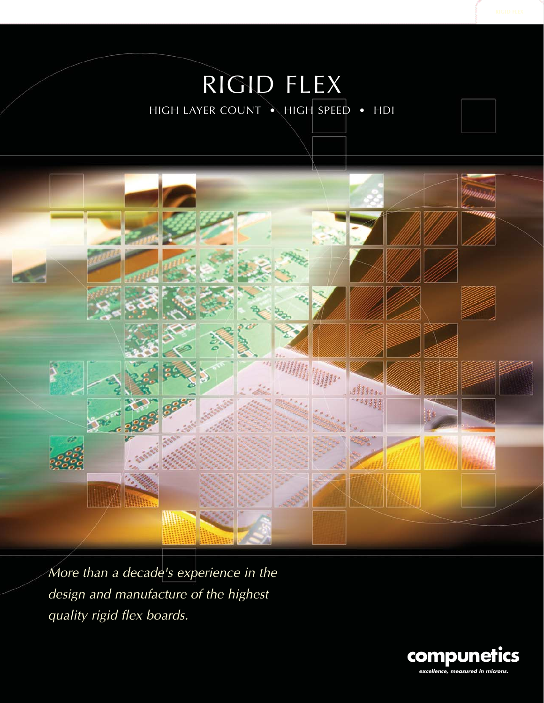# RIGID FLEX HIGH LAYER COUNT • HIGH SPEED • HDI



More than a decade's experience in the design and manufacture of the highest quality rigid flex boards.